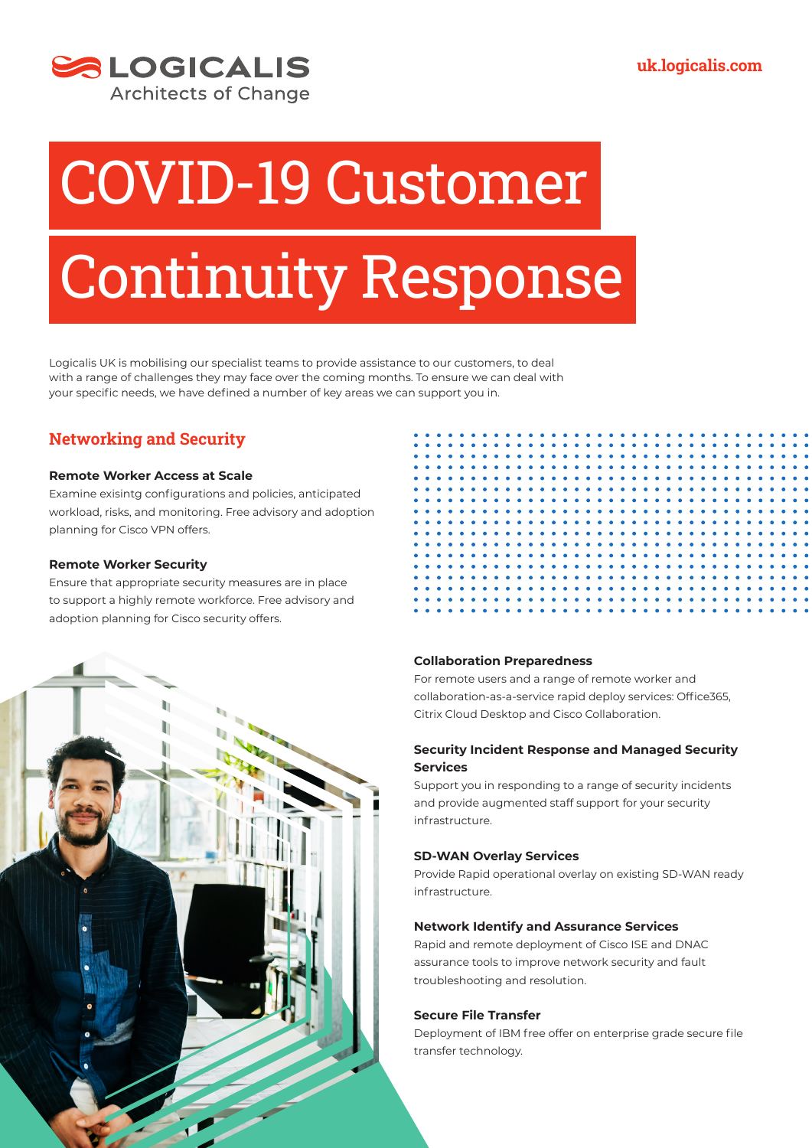

# COVID-19 Customer

## Continuity Response

Logicalis UK is mobilising our specialist teams to provide assistance to our customers, to deal with a range of challenges they may face over the coming months. To ensure we can deal with your specific needs, we have defined a number of key areas we can support you in.

### **Networking and Security**

#### **Remote Worker Access at Scale**

Examine exisintg configurations and policies, anticipated workload, risks, and monitoring. Free advisory and adoption planning for Cisco VPN offers.

#### **Remote Worker Security**

Ensure that appropriate security measures are in place to support a highly remote workforce. Free advisory and adoption planning for Cisco security offers.





#### **Collaboration Preparedness**

For remote users and a range of remote worker and collaboration-as-a-service rapid deploy services: Office365, Citrix Cloud Desktop and Cisco Collaboration.

#### **Security Incident Response and Managed Security Services**

Support you in responding to a range of security incidents and provide augmented staff support for your security infrastructure.

#### **SD-WAN Overlay Services**

Provide Rapid operational overlay on existing SD-WAN ready infrastructure.

#### **Network Identify and Assurance Services**

Rapid and remote deployment of Cisco ISE and DNAC assurance tools to improve network security and fault troubleshooting and resolution.

#### **Secure File Transfer**

Deployment of IBM free offer on enterprise grade secure file transfer technology.